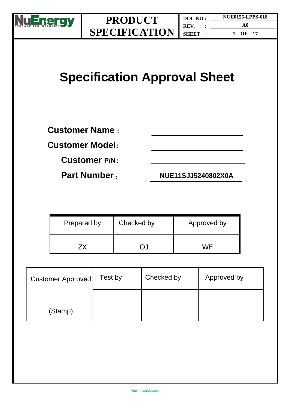

# **Specification Approval Sheet**

**Customer Name :**

**Customer Model:**

**Customer P/N :**

**Part Number : NUE11SJJ5240802X0A**

| Prepared by | Checked by | Approved by |
|-------------|------------|-------------|
|             |            | WF          |

| <b>Customer Approved</b> | Test by | Checked by | Approved by |
|--------------------------|---------|------------|-------------|
| (Stamp)                  |         |            |             |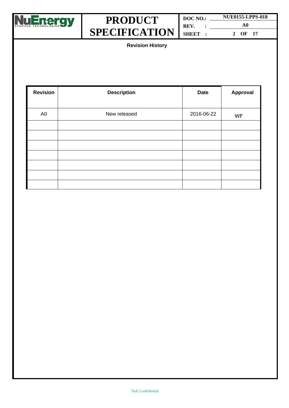

| DOC NO. | <b>NUE0155-LPPS-018</b> |  |
|---------|-------------------------|--|
| REV.    | A0                      |  |
| SHEET : | OF 17<br>$\mathcal{D}$  |  |

**Revision History**

| <b>Revision</b> | <b>Description</b> | <b>Date</b> | Approval  |
|-----------------|--------------------|-------------|-----------|
| A <sub>0</sub>  | New released       | 2016-06-22  | <b>WF</b> |
|                 |                    |             |           |
|                 |                    |             |           |
|                 |                    |             |           |
|                 |                    |             |           |
|                 |                    |             |           |
|                 |                    |             |           |
|                 |                    |             |           |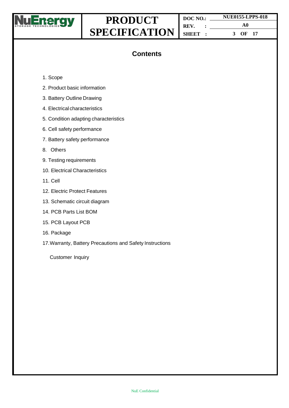

**DOC NO.: REV. : SHEET : NUE0155-LPPS-018 A0 3 OF 17**

### **Contents**

- 1. Scope
- 2. Product basic information
- 3. Battery Outline Drawing
- 4. Electrical characteristics
- 5. Condition adapting characteristics
- 6. Cell safety performance
- 7. Battery safety performance
- 8. Others
- 9. Testing requirements
- 10. Electrical Characteristics
- 11. Cell
- 12. Electric Protect Features
- 13. Schematic circuit diagram
- 14. PCB Parts List BOM
- 15. PCB Layout PCB
- 16. Package
- 17.Warranty, Battery Precautions and Safety Instructions

Customer Inquiry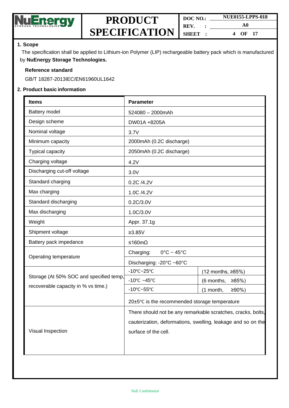

| DOC NO. |  | <b>NUE0155-LPPS-018</b> |  |
|---------|--|-------------------------|--|
| REV.    |  | A0                      |  |
| SHEET:  |  | OF 17<br>4              |  |

#### **1. Scope**

The specification shall be applied to Lithium-ion Polymer (LIP) rechargeable battery pack which is manufactured by **NuEnergy Storage Technologies.**

#### **Reference standard**

GB/T 18287-2013IEC/EN61960UL1642

#### **2. Product basic information**

| <b>Items</b>                            | <b>Parameter</b>                                             |                        |  |
|-----------------------------------------|--------------------------------------------------------------|------------------------|--|
| Battery model                           | 524080 - 2000mAh                                             |                        |  |
| Design scheme                           | DW01A +8205A                                                 |                        |  |
| Nominal voltage                         | 3.7V                                                         |                        |  |
| Minimum capacity                        | 2000mAh (0.2C discharge)                                     |                        |  |
| Typical capacity                        | 2050mAh (0.2C discharge)                                     |                        |  |
| Charging voltage                        | 4.2V                                                         |                        |  |
| Discharging cut-off voltage             | 3.0V                                                         |                        |  |
| Standard charging                       | 0.2C /4.2V                                                   |                        |  |
| Max charging                            | 1.0C /4.2V                                                   |                        |  |
| Standard discharging                    | 0.2C/3.0V                                                    |                        |  |
| Max discharging                         | 1.0C/3.0V                                                    |                        |  |
| Weight                                  | Appr. 37.1g                                                  |                        |  |
| Shipment voltage                        | $≥3.85V$                                                     |                        |  |
| Battery pack impedance                  | ≤160mΩ                                                       |                        |  |
|                                         | Charging:<br>$0^{\circ}$ C ~ 45 $^{\circ}$ C                 |                        |  |
| Operating temperature                   | Discharging: -20°C ~60°C                                     |                        |  |
|                                         | $-10^{\circ}$ C $-25^{\circ}$ C                              | (12 months, ≥85%)      |  |
| Storage (At 50% SOC and specified temp, | -10 $\degree$ C ~45 $\degree$ C                              | (6 months,<br>$≥85%$ ) |  |
| recoverable capacity in % vs time.)     | $-10^{\circ}$ C $-55^{\circ}$ C                              | $≥90%$ )<br>(1 month,  |  |
|                                         | $20\pm5\degree$ C is the recommended storage temperature     |                        |  |
|                                         | There should not be any remarkable scratches, cracks, bolts, |                        |  |
|                                         | cauterization, deformations, swelling, leakage and so on the |                        |  |
| Visual Inspection                       | surface of the cell.                                         |                        |  |
|                                         |                                                              |                        |  |
|                                         |                                                              |                        |  |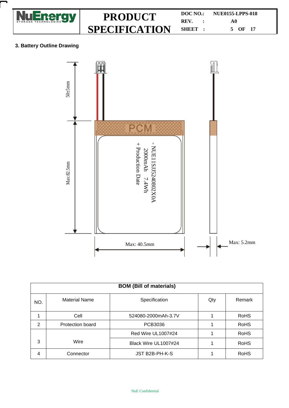

**DOC NO.: NUE0155-LPPS-018 REV. : A0 SHEET : 5 OF 17**

#### **3. Battery Outline Drawing**



| <b>BOM (Bill of materials)</b> |                      |                      |     |             |  |
|--------------------------------|----------------------|----------------------|-----|-------------|--|
| NO.                            | <b>Material Name</b> | Specification        | Qty | Remark      |  |
| 1                              | Cell                 | 524080-2000mAh-3.7V  |     | <b>RoHS</b> |  |
| $\overline{2}$                 | Protection board     | PCB3036              |     | <b>RoHS</b> |  |
|                                |                      | Red Wire UL1007#24   |     | <b>RoHS</b> |  |
| 3                              | Wire                 | Black Wire UL1007#24 |     | <b>RoHS</b> |  |
| 4                              | Connector            | JST B2B-PH-K-S       |     | <b>RoHS</b> |  |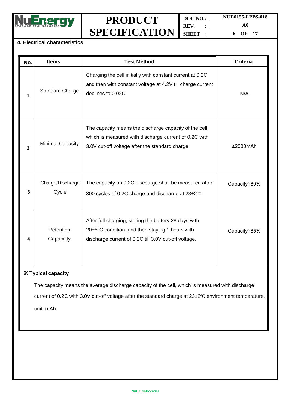

**DOC NO.: REV. : SHEET : NUE0155-LPPS-018 A0 6 OF 17**

#### **4. Electrical characteristics**

| No. | <b>Items</b>              | <b>Test Method</b>                                                                                                                                                 | <b>Criteria</b> |
|-----|---------------------------|--------------------------------------------------------------------------------------------------------------------------------------------------------------------|-----------------|
| 1   | <b>Standard Charge</b>    | Charging the cell initially with constant current at 0.2C<br>and then with constant voltage at 4.2V till charge current<br>declines to 0.02C.                      | N/A             |
| 2   | <b>Minimal Capacity</b>   | The capacity means the discharge capacity of the cell,<br>which is measured with discharge current of 0.2C with<br>3.0V cut-off voltage after the standard charge. | ≥2000mAh        |
| 3   | Charge/Discharge<br>Cycle | The capacity on 0.2C discharge shall be measured after<br>300 cycles of 0.2C charge and discharge at 23±2°C.                                                       | Capacity≥80%    |
| 4   | Retention<br>Capability   | After full charging, storing the battery 28 days with<br>20±5°C condition, and then staying 1 hours with<br>discharge current of 0.2C till 3.0V cut-off voltage.   | Capacity≥85%    |

### **※ Typical capacity**

The capacity means the average discharge capacity of the cell, which is measured with discharge current of 0.2C with 3.0V cut-off voltage after the standard charge at 23±2℃ environment temperature, unit: mAh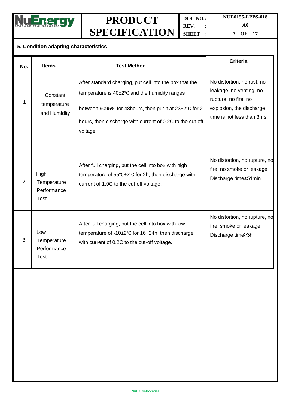

**DOC NO.: REV. : SHEET :**

**NUE0155-LPPS-018 A0 7 OF 17**

### **5. Condition adapting characteristics**

| No.            | <b>Items</b>                                      | <b>Test Method</b>                                                                                                                                                                                                                                      | <b>Criteria</b>                                                                                                                          |
|----------------|---------------------------------------------------|---------------------------------------------------------------------------------------------------------------------------------------------------------------------------------------------------------------------------------------------------------|------------------------------------------------------------------------------------------------------------------------------------------|
| 1              | Constant<br>temperature<br>and Humidity           | After standard charging, put cell into the box that the<br>temperature is $40\pm2\degree$ C and the humidity ranges<br>between 9095% for 48 hours, then put it at 23±2°C for 2<br>hours, then discharge with current of 0.2C to the cut-off<br>voltage. | No distortion, no rust, no<br>leakage, no venting, no<br>rupture, no fire, no<br>explosion, the discharge<br>time is not less than 3hrs. |
| $\overline{2}$ | High<br>Temperature<br>Performance<br><b>Test</b> | After full charging, put the cell into box with high<br>temperature of 55°C±2°C for 2h, then discharge with<br>current of 1.0C to the cut-off voltage.                                                                                                  | No distortion, no rupture, no<br>fire, no smoke or leakage<br>Discharge time≥51min                                                       |
| 3              | Low<br>Temperature<br>Performance<br><b>Test</b>  | After full charging, put the cell into box with low<br>temperature of -10±2°C for 16~24h, then discharge<br>with current of 0.2C to the cut-off voltage.                                                                                                | No distortion, no rupture, no<br>fire, smoke or leakage<br>Discharge time≥3h                                                             |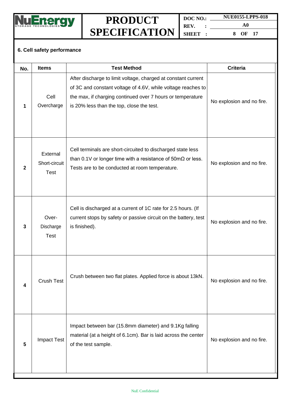

**DOC NO.: REV. : SHEET :**

**A0 8 OF 17**

**NUE0155-LPPS-018**

### **6. Cell safety performance**

| No.          | <b>Items</b>                             | <b>Test Method</b>                                                                                                                                                                                                                       | <b>Criteria</b>           |
|--------------|------------------------------------------|------------------------------------------------------------------------------------------------------------------------------------------------------------------------------------------------------------------------------------------|---------------------------|
| 1            | Cell<br>Overcharge                       | After discharge to limit voltage, charged at constant current<br>of 3C and constant voltage of 4.6V, while voltage reaches to<br>the max, if charging continued over 7 hours or temperature<br>is 20% less than the top, close the test. | No explosion and no fire. |
| $\mathbf{2}$ | External<br>Short-circuit<br><b>Test</b> | Cell terminals are short-circuited to discharged state less<br>than 0.1V or longer time with a resistance of $50 \text{m}\Omega$ or less.<br>Tests are to be conducted at room temperature.                                              | No explosion and no fire. |
| 3            | Over-<br>Discharge<br><b>Test</b>        | Cell is discharged at a current of 1C rate for 2.5 hours. (If<br>current stops by safety or passive circuit on the battery, test<br>is finished).                                                                                        | No explosion and no fire. |
| 4            | <b>Crush Test</b>                        | Crush between two flat plates. Applied force is about 13kN.                                                                                                                                                                              | No explosion and no fire. |
| 5            | <b>Impact Test</b>                       | Impact between bar (15.8mm diameter) and 9.1Kg falling<br>material (at a height of 6.1cm). Bar is laid across the center<br>of the test sample.                                                                                          | No explosion and no fire. |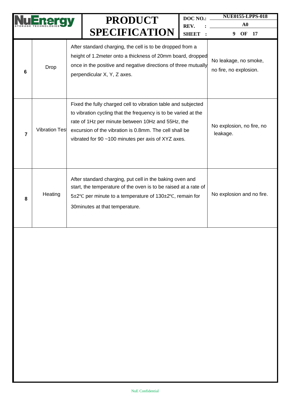|   |                       | <b>PRODUCT</b>                                                                                                                                                                                                                                                                                       | DOC NO.:             | <b>NUE0155-LPPS-018</b><br>${\bf A0}$           |
|---|-----------------------|------------------------------------------------------------------------------------------------------------------------------------------------------------------------------------------------------------------------------------------------------------------------------------------------------|----------------------|-------------------------------------------------|
|   |                       | <b>SPECIFICATION</b>                                                                                                                                                                                                                                                                                 | REV.<br><b>SHEET</b> | OF<br>17<br>9                                   |
| 6 | <b>Drop</b>           | After standard charging, the cell is to be dropped from a<br>height of 1.2 meter onto a thickness of 20mm board, dropped<br>once in the positive and negative directions of three mutually<br>perpendicular X, Y, Z axes.                                                                            |                      | No leakage, no smoke,<br>no fire, no explosion. |
| 7 | <b>Vibration Test</b> | Fixed the fully charged cell to vibration table and subjected<br>to vibration cycling that the frequency is to be varied at the<br>rate of 1Hz per minute between 10Hz and 55Hz, the<br>excursion of the vibration is 0.8mm. The cell shall be<br>vibrated for 90 ~100 minutes per axis of XYZ axes. |                      | No explosion, no fire, no<br>leakage.           |
| 8 | Heating               | After standard charging, put cell in the baking oven and<br>start, the temperature of the oven is to be raised at a rate of<br>5±2°C per minute to a temperature of 130±2°C, remain for<br>30 minutes at that temperature.                                                                           |                      | No explosion and no fire.                       |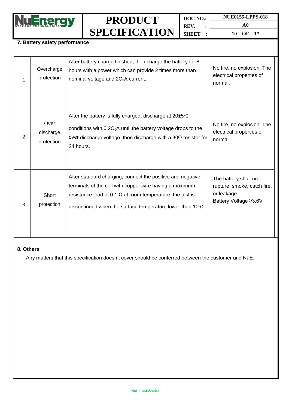

**DOC NO.: REV. : SHEET : NUE0155-LPPS-018**

**A0 10 OF 17**

### **7. Battery safety performance**

| 1 | Overcharge<br>protection        | After battery charge finished, then charge the battery for 8<br>hours with a power which can provide 2 times more than<br>nominal voltage and 2C <sub>5</sub> A current.                                                                                | No fire, no explosion. The<br>electrical properties of<br>normal.                           |
|---|---------------------------------|---------------------------------------------------------------------------------------------------------------------------------------------------------------------------------------------------------------------------------------------------------|---------------------------------------------------------------------------------------------|
| 2 | Over<br>discharge<br>protection | After the battery is fully charged, discharge at 20±5°C<br>conditions with $0.2C_5A$ until the battery voltage drops to the<br>over discharge voltage, then discharge with a $30\Omega$ resister for<br>24 hours.                                       | No fire, no explosion. The<br>electrical properties of<br>normal.                           |
| 3 | Short<br>protection             | After standard charging, connect the positive and negative<br>terminals of the cell with copper wire having a maximum<br>resistance load of 0.1 $\Omega$ at room temperature, the test is<br>discontinued when the surface temperature lower than 10°C. | The battery shall no<br>rupture, smoke, catch fire,<br>or leakage.<br>Battery Voltage ≥3.6V |

#### **8. Others**

Any matters that this specification doesn't cover should be conferred between the customer and NuE.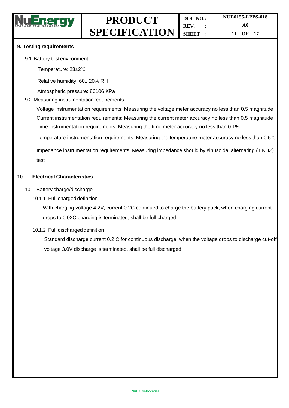

#### **9. Testing requirements**

9.1 Battery testenvironment

Temperature: 23±2℃

Relative humidity: 60± 20% RH

Atmospheric pressure: 86106 KPa

#### 9.2 Measuring instrumentation requirements

Voltage instrumentation requirements: Measuring the voltage meter accuracy no less than 0.5 magnitude Current instrumentation requirements: Measuring the current meter accuracy no less than 0.5 magnitude Time instrumentation requirements: Measuring the time meter accuracy no less than 0.1%

Temperature instrumentation requirements: Measuring the temperature meter accuracy no less than 0.5℃

Impedance instrumentation requirements: Measuring impedance should by sinusoidal alternating (1 KHZ) test

#### **10. Electrical Characteristics**

- 10.1 Battery charge/discharge
	- 10.1.1 Full charged definition

With charging voltage 4.2V, current 0.2C continued to charge the battery pack, when charging current drops to 0.02C charging is terminated, shall be full charged.

10.1.2 Full discharged definition

Standard discharge current 0.2 C for continuous discharge, when the voltage drops to discharge cut-off voltage 3.0V discharge is terminated, shall be full discharged.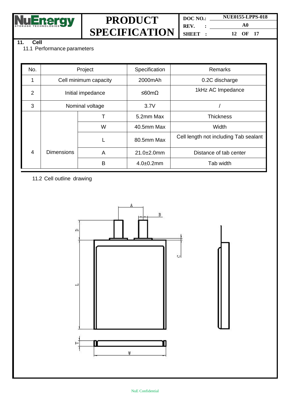<u>NuEnergy</u>

## **PRODUCT SPECIFICATION**

**DOC NO.: REV. : SHEET : NUE0155-LPPS-018 A0**

**12 OF 17**

### **11. Cell**

11.1 Performance parameters

| No.            | Project               |   | Specification     | Remarks                               |
|----------------|-----------------------|---|-------------------|---------------------------------------|
|                | Cell minimum capacity |   | 2000mAh           | 0.2C discharge                        |
| $\overline{2}$ | Initial impedance     |   | ≤60mΩ             | 1kHz AC Impedance                     |
| 3              | Nominal voltage       |   | 3.7V              |                                       |
|                |                       |   | 5.2mm Max         | <b>Thickness</b>                      |
|                |                       | W | 40.5mm Max        | Width                                 |
|                |                       |   | 80.5mm Max        | Cell length not including Tab sealant |
| $\overline{4}$ | <b>Dimensions</b>     | A | $21.0 \pm 2.0$ mm | Distance of tab center                |
|                |                       | B | $4.0 + 0.2$ mm    | Tab width                             |

11.2 Cell outline drawing

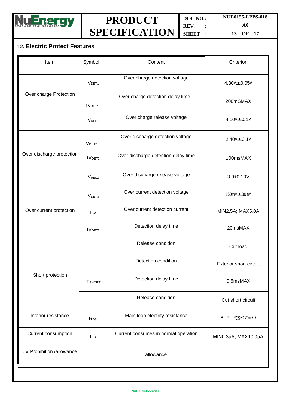

**DOC NO.: REV. : SHEET :**

**A0 13 OF 17**

**NUE0155-LPPS-018**

### **12. Electric Protect Features**

| Item                      | Symbol                 | Content                              | Criterion                         |
|---------------------------|------------------------|--------------------------------------|-----------------------------------|
|                           | V <sub>DET1</sub>      | Over charge detection voltage        | 4.30V±0.05V                       |
| Over charge Protection    | tVDET1                 | Over charge detection delay time     | 200mSMAX                          |
|                           | V <sub>REL1</sub>      | Over charge release voltage          | 4.10 $V = 0.1V$                   |
|                           | V <sub>DET2</sub>      | Over discharge detection voltage     | $2.40V + 0.1V$                    |
| Over discharge protection | tV <sub>DET2</sub>     | Over discharge detection delay time  | 100msMAX                          |
|                           | V <sub>REL2</sub>      | Over discharge release voltage       | $3.0 + 0.10V$                     |
|                           | V <sub>DET3</sub>      | Over current detection voltage       | 150mV-C30mV                       |
| Over current protection   | $I_{DP}$               | Over current detection current       | MIN2.5A; MAX5.0A                  |
|                           | tV <sub>DET3</sub>     | Detection delay time                 | 20msMAX                           |
|                           |                        | Release condition                    | Cut load                          |
|                           |                        | Detection condition                  | <b>Exterior short circuit</b>     |
| Short protection          | <b>T</b> SHORT         | Detection delay time                 | 0.5msMAX                          |
|                           |                        | Release condition                    | Cut short circuit                 |
| Interior resistance       | R <sub>DS</sub>        | Main loop electrify resistance       | B- P- $RDS \le 70 \text{m}\Omega$ |
| Current consumption       | <b>I</b> <sub>DD</sub> | Current consumes in normal operation | MIN0.3µA; MAX10.0µA               |
| 0V Prohibition /allowance |                        | allowance                            |                                   |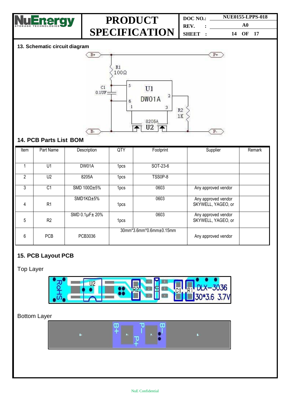

| DOC NO.               | <b>NUE0155-LPPS-018</b> |  |
|-----------------------|-------------------------|--|
| REV.<br>$\sim$ $\sim$ | A0                      |  |
| SHEET:                | 14 OF 17                |  |

#### **13. Schematic circuit diagram**



### **14. PCB Parts List BOM**

| Item          | Part Name      | Description             | $\overline{QTY}$ | Footprint               | Supplier                                  | Remark |
|---------------|----------------|-------------------------|------------------|-------------------------|-------------------------------------------|--------|
|               |                |                         |                  |                         |                                           |        |
|               | U1             | DW01A                   | 1 <sub>pcs</sub> | SOT-23-6                |                                           |        |
| $\mathcal{P}$ | U <sub>2</sub> | 8205A                   | 1pcs             | TSS0P-8                 |                                           |        |
| 3             | C <sub>1</sub> | SMD $100\Omega \pm 5\%$ | 1 <sub>pcs</sub> | 0603                    | Any approved vendor                       |        |
| 4             | R1             | $SMD1K\Omega \pm 5\%$   | 1 <sub>pcs</sub> | 0603                    | Any approved vendor<br>SKYWELL, YAGEO, or |        |
| 5             | R <sub>2</sub> | SMD 0.1µF± 20%          | 1pcs             | 0603                    | Any approved vendor<br>SKYWELL, YAGEO, or |        |
| 6             | <b>PCB</b>     | PCB3036                 |                  | 30mm*3.6mm*0.6mm±0.15mm | Any approved vendor                       |        |

### **15. PCB Layout PCB**

### Top Layer



### Bottom Layer

| <b>All Andrew</b><br>к.<br><b>HOW</b> | $\mathbf{P}$<br>$P+$ | 18 |
|---------------------------------------|----------------------|----|
|                                       |                      |    |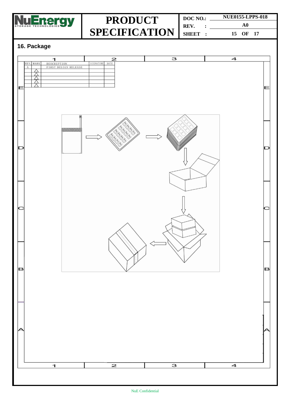

**DOC NO.: REV. : SHEET : NUE0155-LPPS-018 A0 15 OF 17**

### **16. Package**

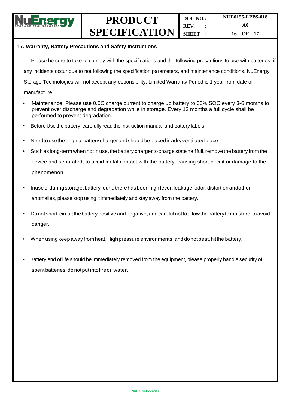

| DOC NO.              | <b>NUE0155-LPPS-018</b> |  |
|----------------------|-------------------------|--|
| REV.<br>$\mathbf{r}$ | A0                      |  |
| SHEET:               | 16 OF 17                |  |

#### **17. Warranty, Battery Precautions and Safety Instructions**

Please be sure to take to comply with the specifications and the following precautions to use with batteries, if any incidents occur due to not following the specification parameters, and maintenance conditions, NuEnergy Storage Technologies will not accept anyresponsibility. Limited Warranty Period is 1 year from date of manufacture.

- Maintenance: Please use 0.5C charge current to charge up battery to 60% SOC every 3-6 months to prevent over discharge and degradation while in storage. Every 12 months a full cycle shall be performed to prevent degradation.
- Before Use the battery, carefully read the instruction manual and battery labels.
- Needto usetheoriginalbattery charger andshould beplacedinadry ventilatedplace.
- Such as long-term when not in use, the battery charger to charge state half full, remove the battery from the device and separated, to avoid metal contact with the battery, causing short-circuit or damage to the phenomenon.
- Inuse orduring storage, battery found there has been high fever, leakage, odor, distortion andother anomalies, please stop using it immediately and stay away from the battery.
- Donot short-circuitthebattery positive andnegative, andcareful nottoallowthe battery tomoisture, toavoid danger.
- When using keep away from heat, High pressure environments, and donot beat, hit the battery.
- Battery end of life should be immediately removed from the equipment, please properly handle security of spent batteries, do notput intofireor water.